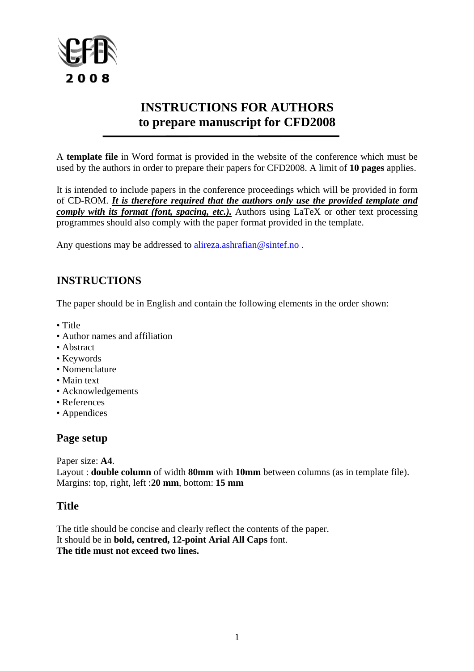

# **INSTRUCTIONS FOR AUTHORS to prepare manuscript for CFD2008**

A **template file** in Word format is provided in the website of the conference which must be used by the authors in order to prepare their papers for CFD2008. A limit of **10 pages** applies.

It is intended to include papers in the conference proceedings which will be provided in form of CD-ROM. *It is therefore required that the authors only use the provided template and comply with its format (font, spacing, etc.).* Authors using LaTeX or other text processing programmes should also comply with the paper format provided in the template.

Any questions may be addressed to [alireza.ashrafian@sintef.no](mailto:alireza.ashrafian@sintef.no).

# **INSTRUCTIONS**

The paper should be in English and contain the following elements in the order shown:

- Title
- Author names and affiliation
- Abstract
- Keywords
- Nomenclature
- Main text
- Acknowledgements
- References
- Appendices

### **Page setup**

Paper size: **A4**.

Layout : **double column** of width **80mm** with **10mm** between columns (as in template file). Margins: top, right, left :**20 mm**, bottom: **15 mm**

### **Title**

The title should be concise and clearly reflect the contents of the paper. It should be in **bold, centred, 12-point Arial All Caps** font. **The title must not exceed two lines.**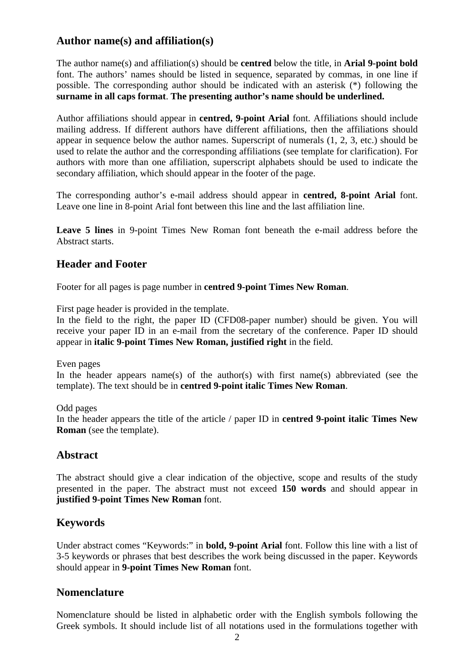# **Author name(s) and affiliation(s)**

The author name(s) and affiliation(s) should be **centred** below the title, in **Arial 9-point bold** font. The authors' names should be listed in sequence, separated by commas, in one line if possible. The corresponding author should be indicated with an asterisk (\*) following the **surname in all caps format**. **The presenting author's name should be underlined.**

Author affiliations should appear in **centred, 9-point Arial** font. Affiliations should include mailing address. If different authors have different affiliations, then the affiliations should appear in sequence below the author names. Superscript of numerals (1, 2, 3, etc.) should be used to relate the author and the corresponding affiliations (see template for clarification). For authors with more than one affiliation, superscript alphabets should be used to indicate the secondary affiliation, which should appear in the footer of the page.

The corresponding author's e-mail address should appear in **centred, 8-point Arial** font. Leave one line in 8-point Arial font between this line and the last affiliation line.

**Leave 5 lines** in 9-point Times New Roman font beneath the e-mail address before the Abstract starts.

## **Header and Footer**

Footer for all pages is page number in **centred 9-point Times New Roman**.

First page header is provided in the template.

In the field to the right, the paper ID (CFD08-paper number) should be given. You will receive your paper ID in an e-mail from the secretary of the conference. Paper ID should appear in **italic 9-point Times New Roman, justified right** in the field.

Even pages

In the header appears name(s) of the author(s) with first name(s) abbreviated (see the template). The text should be in **centred 9-point italic Times New Roman**.

Odd pages In the header appears the title of the article / paper ID in **centred 9-point italic Times New Roman** (see the template).

# **Abstract**

The abstract should give a clear indication of the objective, scope and results of the study presented in the paper. The abstract must not exceed **150 words** and should appear in **justified 9-point Times New Roman** font.

# **Keywords**

Under abstract comes "Keywords:" in **bold, 9-point Arial** font. Follow this line with a list of 3-5 keywords or phrases that best describes the work being discussed in the paper. Keywords should appear in **9-point Times New Roman** font.

### **Nomenclature**

Nomenclature should be listed in alphabetic order with the English symbols following the Greek symbols. It should include list of all notations used in the formulations together with